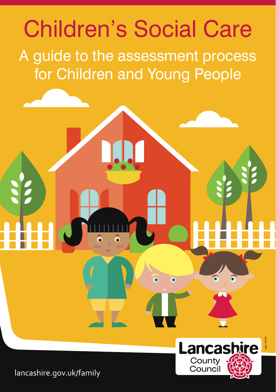



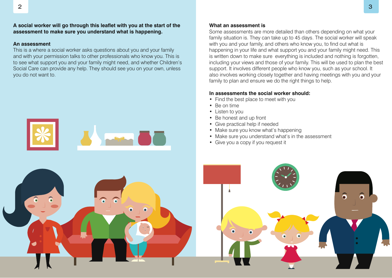# **A social worker will go through this leaflet with you at the start of the assessment to make sure you understand what is happening.**

## **An assessment**

This is a where a social worker asks questions about you and your family and with your permission talks to other professionals who know you. This is to see what support you and your family might need, and whether Children's Social Care can provide any help. They should see you on your own, unless you do not want to.



## **What an assessment is**

Some assessments are more detailed than others depending on what your family situation is. They can take up to 45 days. The social worker will speak with you and your family, and others who know you, to find out what is happening in your life and what support you and your family might need. This is written down to make sure everything is included and nothing is forgotten, including your views and those of your family. This will be used to plan the best support. It involves different people who know you, such as your school. It also involves working closely together and having meetings with you and your family to plan and ensure we do the right things to help.

# **In assessments the social worker should:**

- Find the best place to meet with you
- Be on time
- Listen to you
- Be honest and up front
- Give practical help if needed
- Make sure you know what's happening
- Make sure you understand what's in the assessment
- Give you a copy if you request it

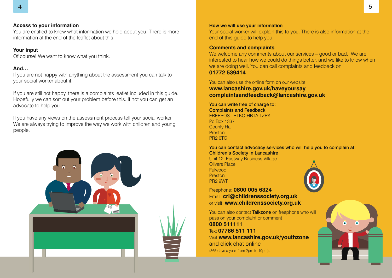## **Access to your information**

You are entitled to know what information we hold about you. There is more information at the end of the leaflet about this.

## **Your input**

Of course! We want to know what you think.

# **And…**

If you are not happy with anything about the assessment you can talk to your social worker about it.

If you are still not happy, there is a complaints leaflet included in this guide. Hopefully we can sort out your problem before this. If not you can get an advocate to help you.

If you have any views on the assessment process tell your social worker. We are always trying to improve the way we work with children and young people.



#### **How we will use your information**

Your social worker will explain this to you. There is also information at the end of this guide to help you.

## **Comments and complaints**

We welcome any comments about our services – good or bad. We are interested to hear how we could do things better, and we like to know when we are doing well. You can call complaints and feedback on **01772 539414**

# You can also use the online form on our website: **www.lancashire.gov.uk/haveyoursay complaintsandfeedback@lancashire.gov.uk**

You can write free of charge to: Complaints and Feedback FREEPOST RTKC-HBTA-TZRK Po Box 1337 County Hall Preston PR2 0TG

You can contact advocacy services who will help you to complain at: Children's Society in Lancashire

Unit 12, Eastway Business Village Olivers Place Fulwood **Preston** PR2 9WT



Freephone: **0800 005 6324** Email: **crl@childrenssociety.org.uk**  or visit: **www.childrenssociety.org.uk**

You can also contact Talkzone on freephone who will pass on your complaint or comment **0800 511111** Text **07786 511 111** Visit **www.lancashire.gov.uk/youthzone**  and click chat online (365 days a year, from 2pm to 10pm).

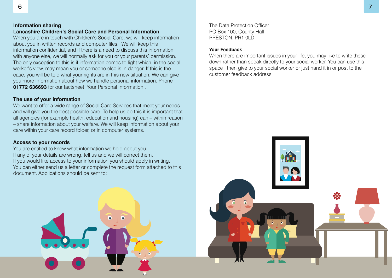## **Information sharing Lancashire Children's Social Care and Personal Information**

When you are in touch with Children's Social Care, we will keep information about you in written records and computer files. We will keep this information confidential, and if there is a need to discuss this information with anyone else, we will normally ask for you or your parents' permission. The only exception to this is if information comes to light which, in the social worker's view, may mean you or someone else is in danger. If this is the case, you will be told what your rights are in this new situation. We can give you more information about how we handle personal information. Phone **01772 636693** for our factsheet 'Your Personal Information'.

# **The use of your information**

We want to offer a wide range of Social Care Services that meet your needs and will give you the best possible care. To help us do this it is important that all agencies (for example health, education and housing) can – within reason – share information about your welfare. We will keep information about your care within your care record folder, or in computer systems.

# **Access to your records**

You are entitled to know what information we hold about you. If any of your details are wrong, tell us and we will correct them. If you would like access to your information you should apply in writing. You can either send us a letter or complete the request form attached to this document. Applications should be sent to:

The Data Protection Officer PO Box 100, County Hall PRESTON, PR1 0LD

# **Your Feedback**

When there are important issues in your life, you may like to write these down rather than speak directly to your social worker. You can use this space , then give to your social worker or just hand it in or post to the customer feedback address.